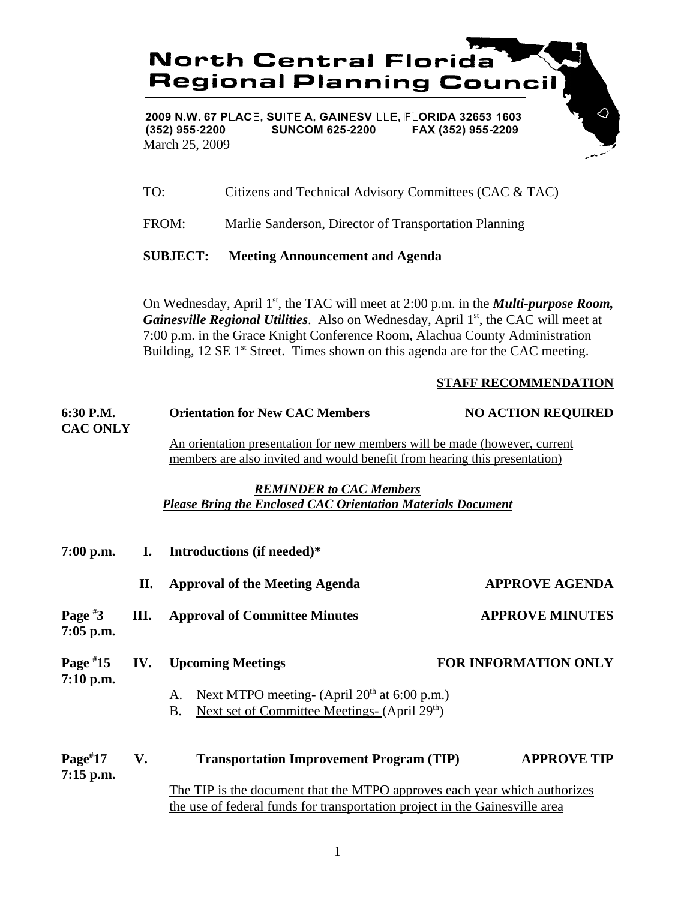**North Central Florida Regional Planning Council** 

2009 N.W. 67 PLACE, SUITE A, GAINESVILLE, FLORIDA 32653-1603  $(352)$  955-2200 **SUNCOM 625-2200** FAX (352) 955-2209 March 25, 2009

TO: Citizens and Technical Advisory Committees (CAC & TAC)

FROM: Marlie Sanderson, Director of Transportation Planning

**SUBJECT: Meeting Announcement and Agenda**

On Wednesday, April 1<sup>st</sup>, the TAC will meet at 2:00 p.m. in the *Multi-purpose Room*, *Gainesville Regional Utilities.* Also on Wednesday, April 1<sup>st</sup>, the CAC will meet at 7:00 p.m. in the Grace Knight Conference Room, Alachua County Administration Building,  $12 \text{ SE } 1^{\text{st}}$  Street. Times shown on this agenda are for the CAC meeting.

## **STAFF RECOMMENDATION**

| 6:30 P.M.<br><b>CAC ONLY</b> |      | <b>Orientation for New CAC Members</b>                                      | <b>NO ACTION REQUIRED</b>   |  |  |
|------------------------------|------|-----------------------------------------------------------------------------|-----------------------------|--|--|
|                              |      | An orientation presentation for new members will be made (however, current  |                             |  |  |
|                              |      | members are also invited and would benefit from hearing this presentation)  |                             |  |  |
|                              |      | <b>REMINDER to CAC Members</b>                                              |                             |  |  |
|                              |      | <b>Please Bring the Enclosed CAC Orientation Materials Document</b>         |                             |  |  |
| $7:00$ p.m.                  | I.   | Introductions (if needed)*                                                  |                             |  |  |
|                              |      |                                                                             |                             |  |  |
|                              | П.   | <b>Approval of the Meeting Agenda</b>                                       | <b>APPROVE AGENDA</b>       |  |  |
| Page $*3$<br>$7:05$ p.m.     | III. | <b>Approval of Committee Minutes</b>                                        | <b>APPROVE MINUTES</b>      |  |  |
| Page $*15$<br>$7:10$ p.m.    | IV.  | <b>Upcoming Meetings</b>                                                    | <b>FOR INFORMATION ONLY</b> |  |  |
|                              |      | Next MTPO meeting- (April 20 <sup>th</sup> at 6:00 p.m.)<br>A.              |                             |  |  |
|                              |      | Next set of Committee Meetings- (April 29 <sup>th</sup> )<br><b>B.</b>      |                             |  |  |
| $Page^{\#}17$                | V.   | <b>Transportation Improvement Program (TIP)</b>                             | <b>APPROVE TIP</b>          |  |  |
| $7:15$ p.m.                  |      |                                                                             |                             |  |  |
|                              |      | The TIP is the document that the MTPO approves each year which authorizes   |                             |  |  |
|                              |      | the use of federal funds for transportation project in the Gainesville area |                             |  |  |